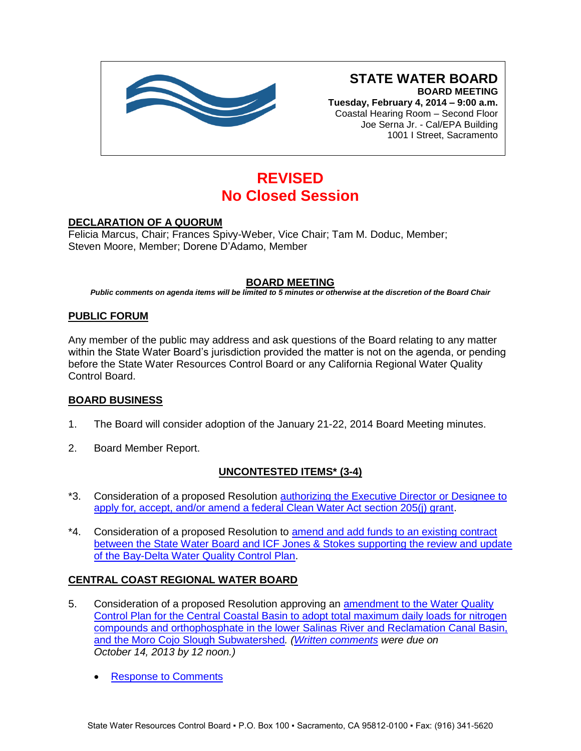

# **STATE WATER BOARD BOARD MEETING**

**Tuesday, February 4, 2014 – 9:00 a.m.** Coastal Hearing Room – Second Floor Joe Serna Jr. - Cal/EPA Building 1001 I Street, Sacramento

# **REVISED No Closed Session**

## **DECLARATION OF A QUORUM**

Felicia Marcus, Chair; Frances Spivy-Weber, Vice Chair; Tam M. Doduc, Member; Steven Moore, Member; Dorene D'Adamo, Member

## **BOARD MEETING**

*Public comments on agenda items will be limited to 5 minutes or otherwise at the discretion of the Board Chair*

#### **PUBLIC FORUM**

Any member of the public may address and ask questions of the Board relating to any matter within the State Water Board's jurisdiction provided the matter is not on the agenda, or pending before the State Water Resources Control Board or any California Regional Water Quality Control Board.

#### **BOARD BUSINESS**

- 1. The Board will consider adoption of the January 21-22, 2014 Board Meeting minutes.
- 2. Board Member Report.

#### **UNCONTESTED ITEMS\* (3-4)**

- \*3. Consideration of a proposed Resolution [authorizing the Executive Director or Designee to](http://www.waterboards.ca.gov/board_info/agendas/2014/feb/020414_3.pdf)  [apply for, accept, and/or amend a federal Clean Water Act section 205\(j\) grant.](http://www.waterboards.ca.gov/board_info/agendas/2014/feb/020414_3.pdf)
- \*4. Consideration of a proposed Resolution to amend and add funds to an existing contract [between the State Water Board and ICF Jones & Stokes supporting the review and update](http://www.waterboards.ca.gov/board_info/agendas/2014/feb/020414_4.pdf)  [of the Bay-Delta Water Quality Control Plan.](http://www.waterboards.ca.gov/board_info/agendas/2014/feb/020414_4.pdf)

#### **CENTRAL COAST REGIONAL WATER BOARD**

- 5. Consideration of a proposed Resolution approving an **amendment to the Water Quality** [Control Plan for the Central Coastal Basin to adopt total maximum daily loads for nitrogen](http://www.waterboards.ca.gov/board_info/agendas/2014/feb/020414_5.pdf)  [compounds and orthophosphate in the lower Salinas River and Reclamation Canal Basin,](http://www.waterboards.ca.gov/board_info/agendas/2014/feb/020414_5.pdf)  and the [Moro Cojo Slough Subwatershed](http://www.waterboards.ca.gov/board_info/agendas/2014/feb/020414_5.pdf)*. [\(Written comments](http://www.waterboards.ca.gov/waterrights/water_issues/programs/hearings/salinas_nutrients/comments101413.shtml) were due on October 14, 2013 by 12 noon.)*
	- [Response to Comments](http://www.waterboards.ca.gov/board_info/agendas/2014/feb/rtc_salinas_nutrients.pdf)